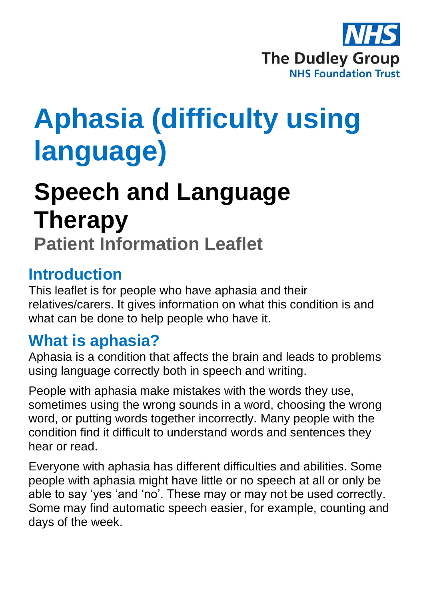

# **Aphasia (difficulty using language)**

## **Speech and Language Therapy Patient Information Leaflet**

#### **Introduction**

This leaflet is for people who have aphasia and their relatives/carers. It gives information on what this condition is and what can be done to help people who have it.

## **What is aphasia?**

Aphasia is a condition that affects the brain and leads to problems using language correctly both in speech and writing.

People with aphasia make mistakes with the words they use, sometimes using the wrong sounds in a word, choosing the wrong word, or putting words together incorrectly. Many people with the condition find it difficult to understand words and sentences they hear or read.

Everyone with aphasia has different difficulties and abilities. Some people with aphasia might have little or no speech at all or only be able to say 'yes 'and 'no'. These may or may not be used correctly. Some may find automatic speech easier, for example, counting and days of the week.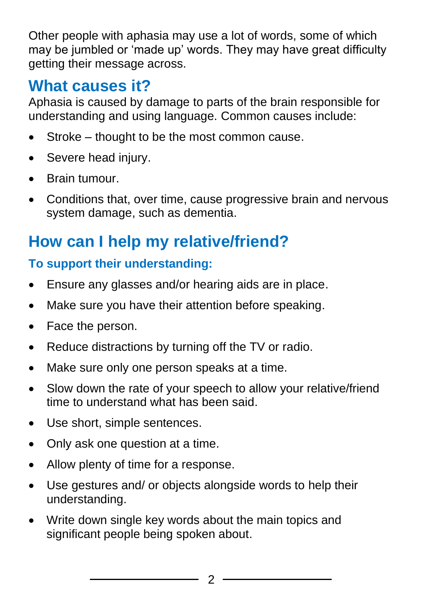Other people with aphasia may use a lot of words, some of which may be jumbled or 'made up' words. They may have great difficulty getting their message across.

## **What causes it?**

Aphasia is caused by damage to parts of the brain responsible for understanding and using language. Common causes include:

- Stroke thought to be the most common cause.
- Severe head injury.
- Brain tumour.
- Conditions that, over time, cause progressive brain and nervous system damage, such as dementia.

## **How can I help my relative/friend?**

#### **To support their understanding:**

- Ensure any glasses and/or hearing aids are in place.
- Make sure you have their attention before speaking.
- Face the person.
- Reduce distractions by turning off the TV or radio.
- Make sure only one person speaks at a time.
- Slow down the rate of your speech to allow your relative/friend time to understand what has been said.
- Use short, simple sentences.
- Only ask one question at a time.
- Allow plenty of time for a response.
- Use gestures and/ or objects alongside words to help their understanding.
- Write down single key words about the main topics and significant people being spoken about.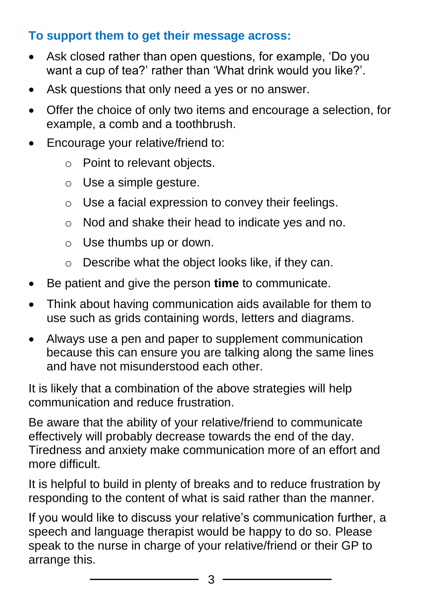#### **To support them to get their message across:**

- Ask closed rather than open questions, for example, 'Do you want a cup of tea?' rather than 'What drink would you like?'.
- Ask questions that only need a yes or no answer.
- Offer the choice of only two items and encourage a selection, for example, a comb and a toothbrush.
- Encourage your relative/friend to:
	- o Point to relevant objects.
	- o Use a simple gesture.
	- $\circ$  Use a facial expression to convey their feelings.
	- o Nod and shake their head to indicate yes and no.
	- $\circ$  Use thumbs up or down.
	- o Describe what the object looks like, if they can.
- Be patient and give the person **time** to communicate.
- Think about having communication aids available for them to use such as grids containing words, letters and diagrams.
- Always use a pen and paper to supplement communication because this can ensure you are talking along the same lines and have not misunderstood each other.

It is likely that a combination of the above strategies will help communication and reduce frustration.

Be aware that the ability of your relative/friend to communicate effectively will probably decrease towards the end of the day. Tiredness and anxiety make communication more of an effort and more difficult.

It is helpful to build in plenty of breaks and to reduce frustration by responding to the content of what is said rather than the manner.

If you would like to discuss your relative's communication further, a speech and language therapist would be happy to do so. Please speak to the nurse in charge of your relative/friend or their GP to arrange this.